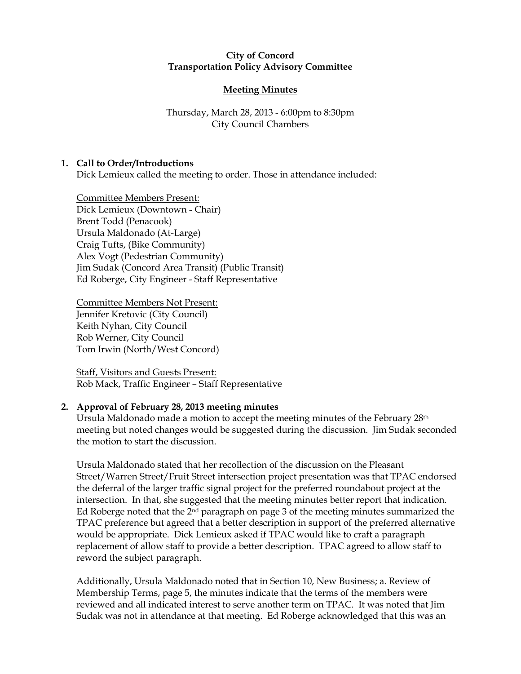### City of Concord Transportation Policy Advisory Committee

# Meeting Minutes

# Thursday, March 28, 2013 - 6:00pm to 8:30pm City Council Chambers

# 1. Call to Order/Introductions

Dick Lemieux called the meeting to order. Those in attendance included:

Committee Members Present: Dick Lemieux (Downtown - Chair) Brent Todd (Penacook) Ursula Maldonado (At-Large) Craig Tufts, (Bike Community) Alex Vogt (Pedestrian Community) Jim Sudak (Concord Area Transit) (Public Transit) Ed Roberge, City Engineer - Staff Representative

Committee Members Not Present: Jennifer Kretovic (City Council) Keith Nyhan, City Council Rob Werner, City Council Tom Irwin (North/West Concord)

Staff, Visitors and Guests Present: Rob Mack, Traffic Engineer – Staff Representative

# 2. Approval of February 28, 2013 meeting minutes

Ursula Maldonado made a motion to accept the meeting minutes of the February 28th meeting but noted changes would be suggested during the discussion. Jim Sudak seconded the motion to start the discussion.

Ursula Maldonado stated that her recollection of the discussion on the Pleasant Street/Warren Street/Fruit Street intersection project presentation was that TPAC endorsed the deferral of the larger traffic signal project for the preferred roundabout project at the intersection. In that, she suggested that the meeting minutes better report that indication. Ed Roberge noted that the  $2<sup>nd</sup>$  paragraph on page 3 of the meeting minutes summarized the TPAC preference but agreed that a better description in support of the preferred alternative would be appropriate. Dick Lemieux asked if TPAC would like to craft a paragraph replacement of allow staff to provide a better description. TPAC agreed to allow staff to reword the subject paragraph.

Additionally, Ursula Maldonado noted that in Section 10, New Business; a. Review of Membership Terms, page 5, the minutes indicate that the terms of the members were reviewed and all indicated interest to serve another term on TPAC. It was noted that Jim Sudak was not in attendance at that meeting. Ed Roberge acknowledged that this was an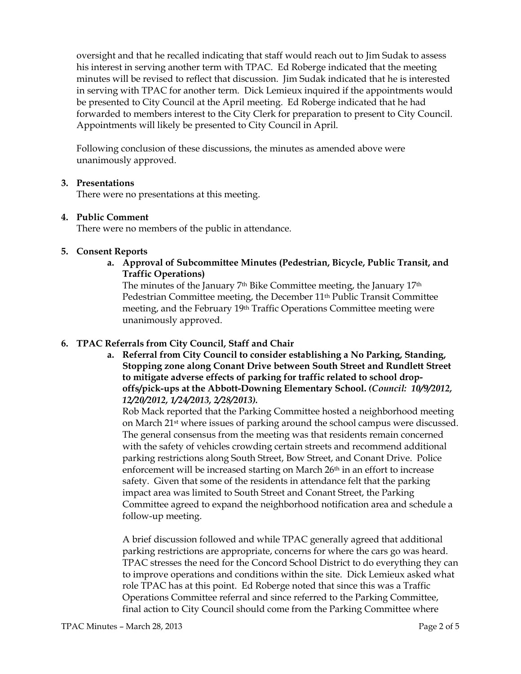oversight and that he recalled indicating that staff would reach out to Jim Sudak to assess his interest in serving another term with TPAC. Ed Roberge indicated that the meeting minutes will be revised to reflect that discussion. Jim Sudak indicated that he is interested in serving with TPAC for another term. Dick Lemieux inquired if the appointments would be presented to City Council at the April meeting. Ed Roberge indicated that he had forwarded to members interest to the City Clerk for preparation to present to City Council. Appointments will likely be presented to City Council in April.

Following conclusion of these discussions, the minutes as amended above were unanimously approved.

### 3. Presentations

There were no presentations at this meeting.

#### 4. Public Comment

There were no members of the public in attendance.

### 5. Consent Reports

a. Approval of Subcommittee Minutes (Pedestrian, Bicycle, Public Transit, and Traffic Operations)

The minutes of the January 7th Bike Committee meeting, the January 17th Pedestrian Committee meeting, the December 11th Public Transit Committee meeting, and the February 19th Traffic Operations Committee meeting were unanimously approved.

# 6. TPAC Referrals from City Council, Staff and Chair

a. Referral from City Council to consider establishing a No Parking, Standing, Stopping zone along Conant Drive between South Street and Rundlett Street to mitigate adverse effects of parking for traffic related to school dropoffs/pick-ups at the Abbott-Downing Elementary School. (Council: 10/9/2012, 12/20/2012, 1/24/2013, 2/28/2013).

Rob Mack reported that the Parking Committee hosted a neighborhood meeting on March 21st where issues of parking around the school campus were discussed. The general consensus from the meeting was that residents remain concerned with the safety of vehicles crowding certain streets and recommend additional parking restrictions along South Street, Bow Street, and Conant Drive. Police enforcement will be increased starting on March 26<sup>th</sup> in an effort to increase safety. Given that some of the residents in attendance felt that the parking impact area was limited to South Street and Conant Street, the Parking Committee agreed to expand the neighborhood notification area and schedule a follow-up meeting.

A brief discussion followed and while TPAC generally agreed that additional parking restrictions are appropriate, concerns for where the cars go was heard. TPAC stresses the need for the Concord School District to do everything they can to improve operations and conditions within the site. Dick Lemieux asked what role TPAC has at this point. Ed Roberge noted that since this was a Traffic Operations Committee referral and since referred to the Parking Committee, final action to City Council should come from the Parking Committee where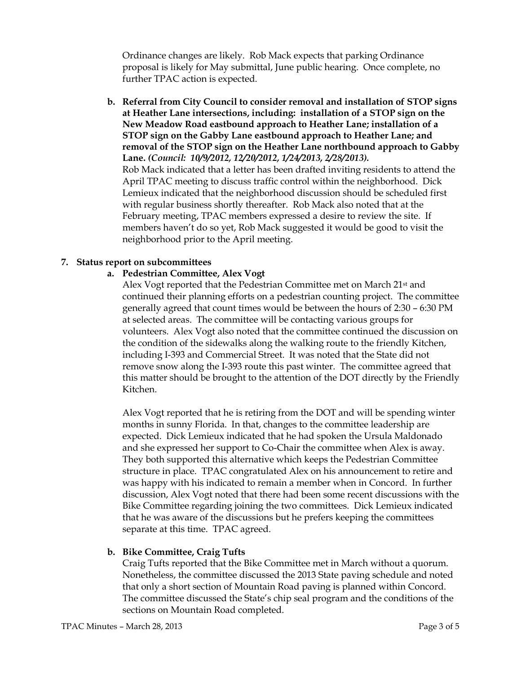Ordinance changes are likely. Rob Mack expects that parking Ordinance proposal is likely for May submittal, June public hearing. Once complete, no further TPAC action is expected.

b. Referral from City Council to consider removal and installation of STOP signs at Heather Lane intersections, including: installation of a STOP sign on the New Meadow Road eastbound approach to Heather Lane; installation of a STOP sign on the Gabby Lane eastbound approach to Heather Lane; and removal of the STOP sign on the Heather Lane northbound approach to Gabby Lane. (Council: 10/9/2012, 12/20/2012, 1/24/2013, 2/28/2013). Rob Mack indicated that a letter has been drafted inviting residents to attend the April TPAC meeting to discuss traffic control within the neighborhood. Dick

Lemieux indicated that the neighborhood discussion should be scheduled first with regular business shortly thereafter. Rob Mack also noted that at the February meeting, TPAC members expressed a desire to review the site. If members haven't do so yet, Rob Mack suggested it would be good to visit the neighborhood prior to the April meeting.

# 7. Status report on subcommittees

### a. Pedestrian Committee, Alex Vogt

Alex Vogt reported that the Pedestrian Committee met on March 21st and continued their planning efforts on a pedestrian counting project. The committee generally agreed that count times would be between the hours of 2:30 – 6:30 PM at selected areas. The committee will be contacting various groups for volunteers. Alex Vogt also noted that the committee continued the discussion on the condition of the sidewalks along the walking route to the friendly Kitchen, including I-393 and Commercial Street. It was noted that the State did not remove snow along the I-393 route this past winter. The committee agreed that this matter should be brought to the attention of the DOT directly by the Friendly Kitchen.

Alex Vogt reported that he is retiring from the DOT and will be spending winter months in sunny Florida. In that, changes to the committee leadership are expected. Dick Lemieux indicated that he had spoken the Ursula Maldonado and she expressed her support to Co-Chair the committee when Alex is away. They both supported this alternative which keeps the Pedestrian Committee structure in place. TPAC congratulated Alex on his announcement to retire and was happy with his indicated to remain a member when in Concord. In further discussion, Alex Vogt noted that there had been some recent discussions with the Bike Committee regarding joining the two committees. Dick Lemieux indicated that he was aware of the discussions but he prefers keeping the committees separate at this time. TPAC agreed.

# b. Bike Committee, Craig Tufts

Craig Tufts reported that the Bike Committee met in March without a quorum. Nonetheless, the committee discussed the 2013 State paving schedule and noted that only a short section of Mountain Road paving is planned within Concord. The committee discussed the State's chip seal program and the conditions of the sections on Mountain Road completed.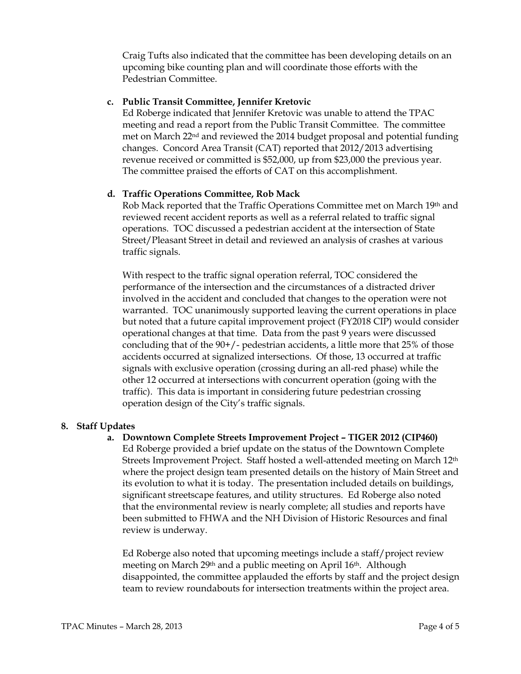Craig Tufts also indicated that the committee has been developing details on an upcoming bike counting plan and will coordinate those efforts with the Pedestrian Committee.

## c. Public Transit Committee, Jennifer Kretovic

Ed Roberge indicated that Jennifer Kretovic was unable to attend the TPAC meeting and read a report from the Public Transit Committee. The committee met on March 22nd and reviewed the 2014 budget proposal and potential funding changes. Concord Area Transit (CAT) reported that 2012/2013 advertising revenue received or committed is \$52,000, up from \$23,000 the previous year. The committee praised the efforts of CAT on this accomplishment.

# d. Traffic Operations Committee, Rob Mack

Rob Mack reported that the Traffic Operations Committee met on March 19th and reviewed recent accident reports as well as a referral related to traffic signal operations. TOC discussed a pedestrian accident at the intersection of State Street/Pleasant Street in detail and reviewed an analysis of crashes at various traffic signals.

With respect to the traffic signal operation referral, TOC considered the performance of the intersection and the circumstances of a distracted driver involved in the accident and concluded that changes to the operation were not warranted. TOC unanimously supported leaving the current operations in place but noted that a future capital improvement project (FY2018 CIP) would consider operational changes at that time. Data from the past 9 years were discussed concluding that of the  $90+/$ - pedestrian accidents, a little more that  $25\%$  of those accidents occurred at signalized intersections. Of those, 13 occurred at traffic signals with exclusive operation (crossing during an all-red phase) while the other 12 occurred at intersections with concurrent operation (going with the traffic). This data is important in considering future pedestrian crossing operation design of the City's traffic signals.

# 8. Staff Updates

a. Downtown Complete Streets Improvement Project – TIGER 2012 (CIP460) Ed Roberge provided a brief update on the status of the Downtown Complete Streets Improvement Project. Staff hosted a well-attended meeting on March 12th where the project design team presented details on the history of Main Street and its evolution to what it is today. The presentation included details on buildings, significant streetscape features, and utility structures. Ed Roberge also noted that the environmental review is nearly complete; all studies and reports have been submitted to FHWA and the NH Division of Historic Resources and final review is underway.

Ed Roberge also noted that upcoming meetings include a staff/project review meeting on March 29th and a public meeting on April 16th. Although disappointed, the committee applauded the efforts by staff and the project design team to review roundabouts for intersection treatments within the project area.